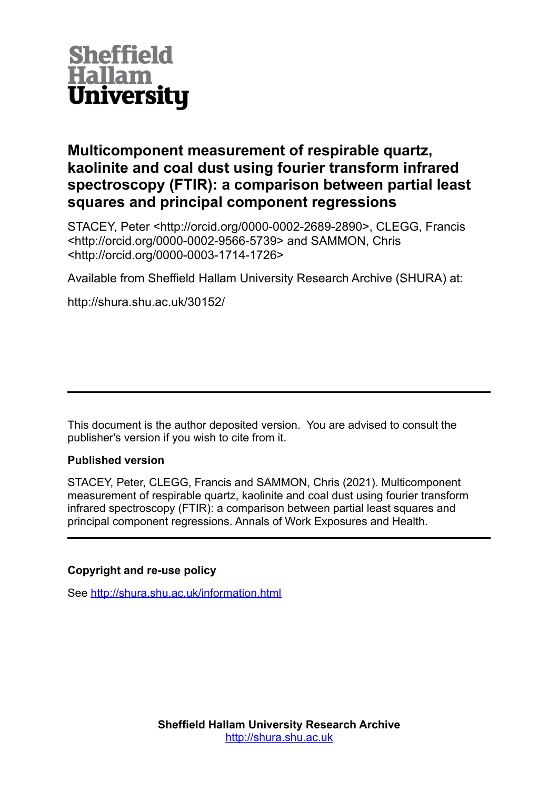

# **Multicomponent measurement of respirable quartz, kaolinite and coal dust using fourier transform infrared spectroscopy (FTIR): a comparison between partial least squares and principal component regressions**

STACEY, Peter <http://orcid.org/0000-0002-2689-2890>, CLEGG, Francis <http://orcid.org/0000-0002-9566-5739> and SAMMON, Chris <http://orcid.org/0000-0003-1714-1726>

Available from Sheffield Hallam University Research Archive (SHURA) at:

http://shura.shu.ac.uk/30152/

This document is the author deposited version. You are advised to consult the publisher's version if you wish to cite from it.

### **Published version**

STACEY, Peter, CLEGG, Francis and SAMMON, Chris (2021). Multicomponent measurement of respirable quartz, kaolinite and coal dust using fourier transform infrared spectroscopy (FTIR): a comparison between partial least squares and principal component regressions. Annals of Work Exposures and Health.

### **Copyright and re-use policy**

See<http://shura.shu.ac.uk/information.html>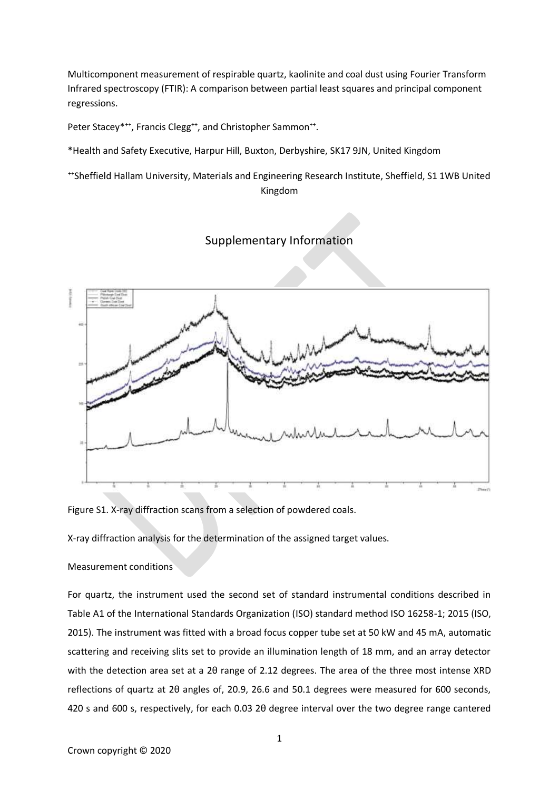Multicomponent measurement of respirable quartz, kaolinite and coal dust using Fourier Transform Infrared spectroscopy (FTIR): A comparison between partial least squares and principal component regressions.

Peter Stacey\*<sup>++</sup>, Francis Clegg<sup>++</sup>, and Christopher Sammon<sup>++</sup>.

\*Health and Safety Executive, Harpur Hill, Buxton, Derbyshire, SK17 9JN, United Kingdom

++Sheffield Hallam University, Materials and Engineering Research Institute, Sheffield, S1 1WB United Kingdom

## Supplementary Information



Figure S1. X-ray diffraction scans from a selection of powdered coals.

X-ray diffraction analysis for the determination of the assigned target values.

#### Measurement conditions

For quartz, the instrument used the second set of standard instrumental conditions described in Table A1 of the International Standards Organization (ISO) standard method ISO 16258-1; 2015 (ISO, 2015). The instrument was fitted with a broad focus copper tube set at 50 kW and 45 mA, automatic scattering and receiving slits set to provide an illumination length of 18 mm, and an array detector with the detection area set at a 2θ range of 2.12 degrees. The area of the three most intense XRD reflections of quartz at 2θ angles of, 20.9, 26.6 and 50.1 degrees were measured for 600 seconds, 420 s and 600 s, respectively, for each 0.03 2θ degree interval over the two degree range cantered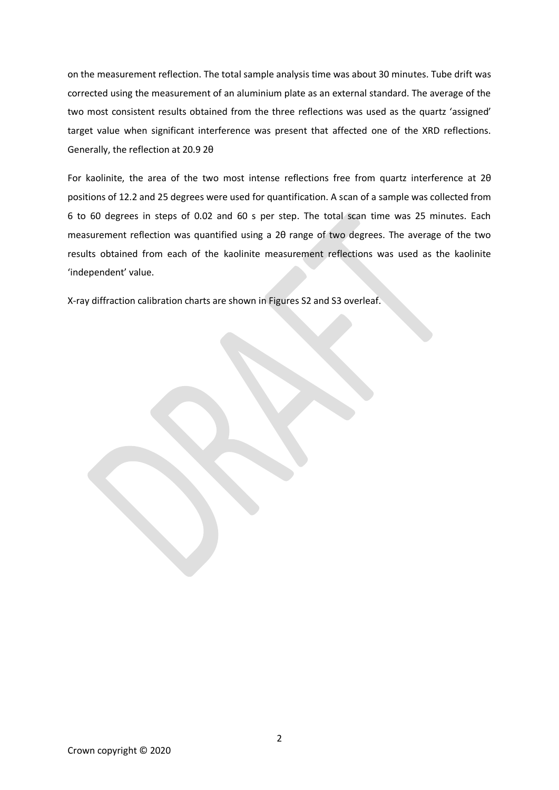on the measurement reflection. The total sample analysis time was about 30 minutes. Tube drift was corrected using the measurement of an aluminium plate as an external standard. The average of the two most consistent results obtained from the three reflections was used as the quartz 'assigned' target value when significant interference was present that affected one of the XRD reflections. Generally, the reflection at 20.9 2θ

For kaolinite, the area of the two most intense reflections free from quartz interference at 2θ positions of 12.2 and 25 degrees were used for quantification. A scan of a sample was collected from 6 to 60 degrees in steps of 0.02 and 60 s per step. The total scan time was 25 minutes. Each measurement reflection was quantified using a 2θ range of two degrees. The average of the two results obtained from each of the kaolinite measurement reflections was used as the kaolinite 'independent' value.

X-ray diffraction calibration charts are shown in Figures S2 and S3 overleaf.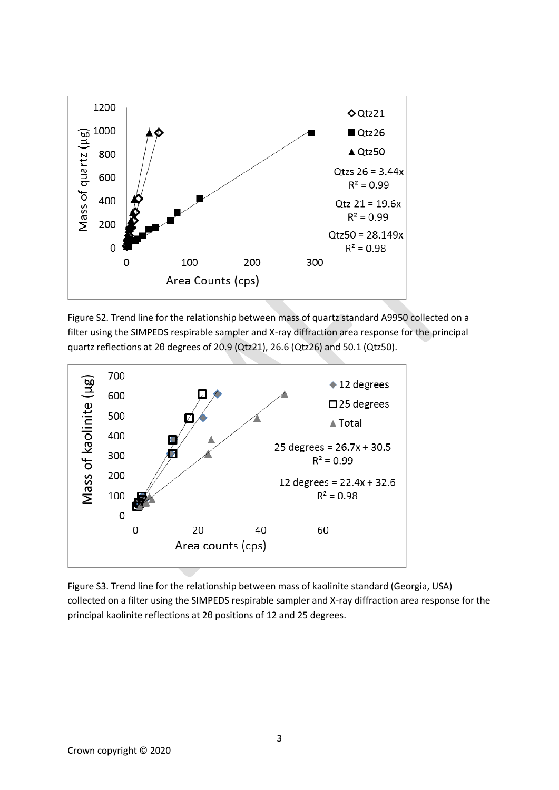

Figure S2. Trend line for the relationship between mass of quartz standard A9950 collected on a filter using the SIMPEDS respirable sampler and X-ray diffraction area response for the principal quartz reflections at 2θ degrees of 20.9 (Qtz21), 26.6 (Qtz26) and 50.1 (Qtz50).



Figure S3. Trend line for the relationship between mass of kaolinite standard (Georgia, USA) collected on a filter using the SIMPEDS respirable sampler and X-ray diffraction area response for the principal kaolinite reflections at 2θ positions of 12 and 25 degrees.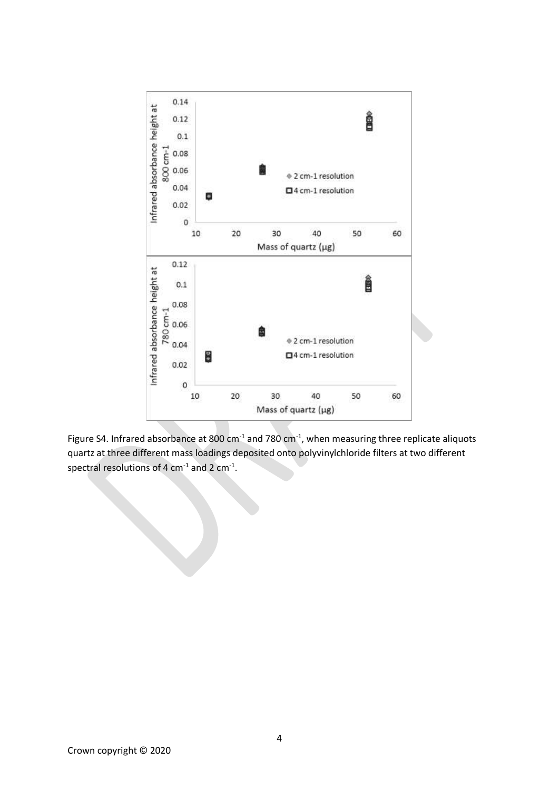

Figure S4. Infrared absorbance at 800  $cm^{-1}$  and 780  $cm^{-1}$ , when measuring three replicate aliquots quartz at three different mass loadings deposited onto polyvinylchloride filters at two different spectral resolutions of 4 cm<sup>-1</sup> and 2 cm<sup>-1</sup>.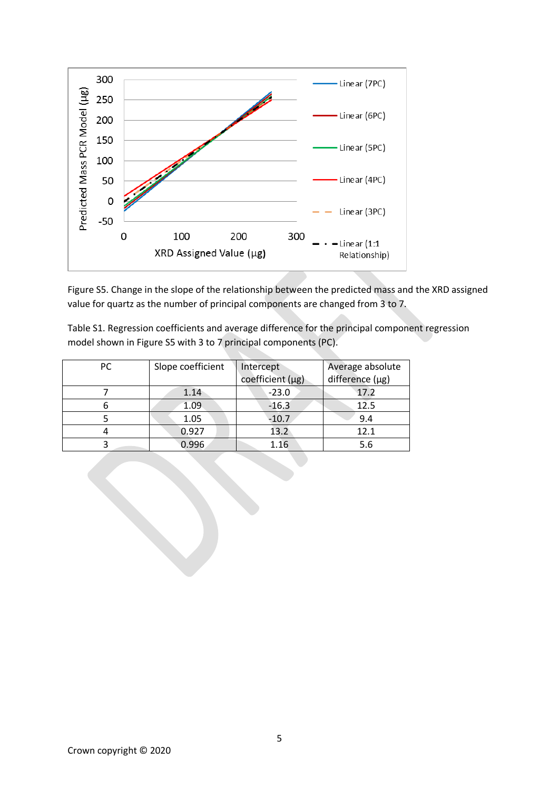

Figure S5. Change in the slope of the relationship between the predicted mass and the XRD assigned value for quartz as the number of principal components are changed from 3 to 7.

Table S1. Regression coefficients and average difference for the principal component regression model shown in Figure S5 with 3 to 7 principal components (PC).

| PC. | Slope coefficient | Intercept<br>coefficient (µg) | Average absolute<br>difference $(\mu g)$ |
|-----|-------------------|-------------------------------|------------------------------------------|
|     | 1.14              | $-23.0$                       | 17.2                                     |
|     | 1.09              | $-16.3$                       | 12.5                                     |
|     | 1.05              | $-10.7$                       | 9.4                                      |
|     | 0.927             | 13.2                          | 12.1                                     |
|     | 0.996             | 1.16                          | 5.6                                      |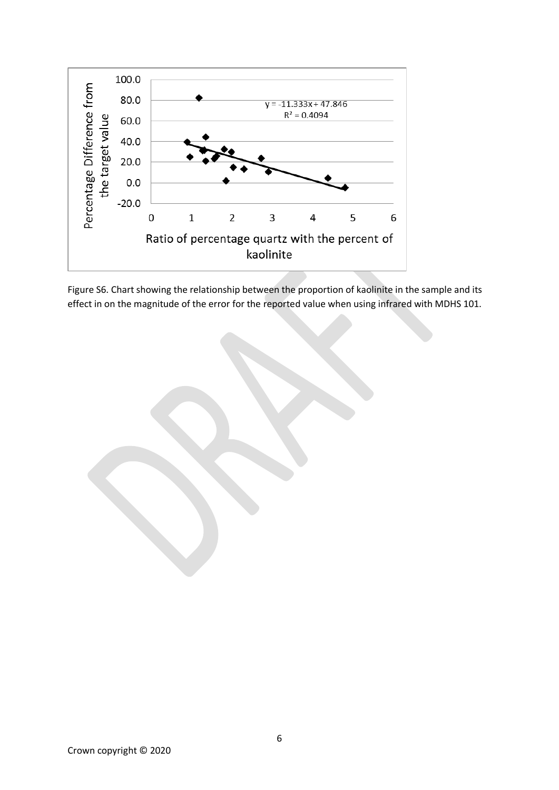

Figure S6. Chart showing the relationship between the proportion of kaolinite in the sample and its effect in on the magnitude of the error for the reported value when using infrared with MDHS 101.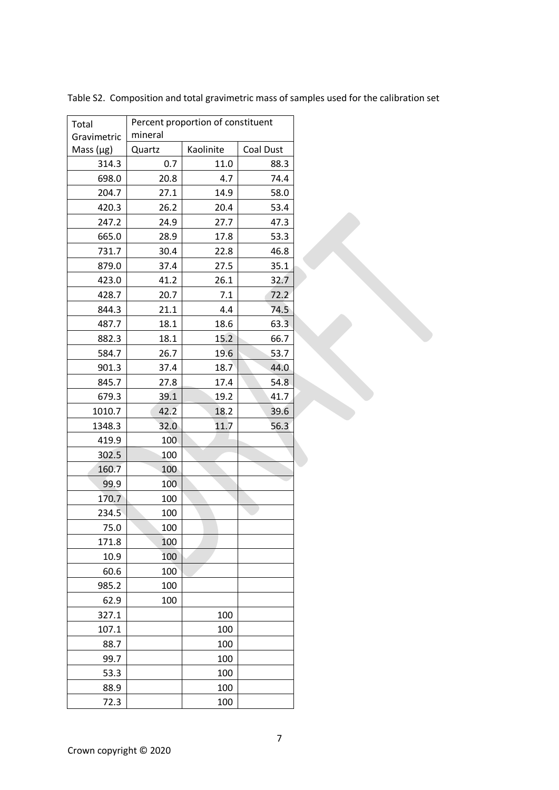| Total          | Percent proportion of constituent |           |           |  |
|----------------|-----------------------------------|-----------|-----------|--|
| Gravimetric    | mineral                           |           |           |  |
| Mass $(\mu g)$ | Quartz                            | Kaolinite | Coal Dust |  |
| 314.3          | 0.7                               | 11.0      | 88.3      |  |
| 698.0          | 20.8                              | 4.7       | 74.4      |  |
| 204.7          | 27.1                              | 14.9      | 58.0      |  |
| 420.3          | 26.2                              | 20.4      | 53.4      |  |
| 247.2          | 24.9                              | 27.7      | 47.3      |  |
| 665.0          | 28.9                              | 17.8      | 53.3      |  |
| 731.7          | 30.4                              | 22.8      | 46.8      |  |
| 879.0          | 37.4                              | 27.5      | 35.1      |  |
| 423.0          | 41.2                              | 26.1      | 32.7      |  |
| 428.7          | 20.7                              | 7.1       | 72.2      |  |
| 844.3          | 21.1                              | 4.4       | 74.5      |  |
| 487.7          | 18.1                              | 18.6      | 63.3      |  |
| 882.3          | 18.1                              | 15.2      | 66.7      |  |
| 584.7          | 26.7                              | 19.6      | 53.7      |  |
| 901.3          | 37.4                              | 18.7      | 44.0      |  |
| 845.7          | 27.8                              | 17.4      | 54.8      |  |
| 679.3          | 39.1                              | 19.2      | 41.7      |  |
| 1010.7         | 42.2                              | 18.2      | 39.6      |  |
| 1348.3         | 32.0                              | 11.7      | 56.3      |  |
| 419.9          | 100                               |           |           |  |
| 302.5          | 100                               |           |           |  |
| 160.7          | 100                               |           |           |  |
| 99.9           | 100                               |           |           |  |
| 170.7          | 100                               |           |           |  |
| 234.5          | 100                               |           |           |  |
| 75.0           | 100                               |           |           |  |
| 171.8          | 100                               |           |           |  |
| 10.9           | 100                               |           |           |  |
| 60.6           | 100                               |           |           |  |
| 985.2          | 100                               |           |           |  |
| 62.9           | 100                               |           |           |  |
| 327.1          |                                   | 100       |           |  |
| 107.1          |                                   | 100       |           |  |
| 88.7           |                                   | 100       |           |  |
| 99.7           |                                   | 100       |           |  |
| 53.3           |                                   | 100       |           |  |
| 88.9           |                                   | 100       |           |  |
| 72.3           |                                   | 100       |           |  |

Table S2. Composition and total gravimetric mass of samples used for the calibration set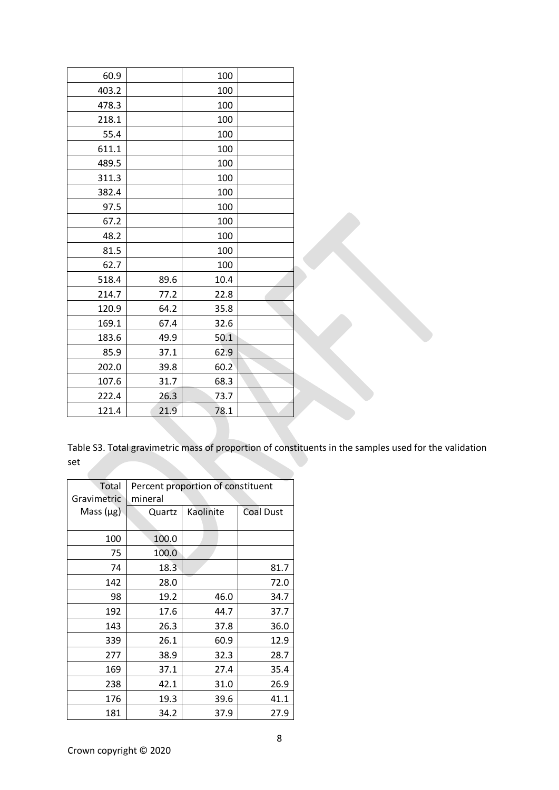| 60.9  |      | 100  |  |
|-------|------|------|--|
| 403.2 |      | 100  |  |
| 478.3 |      | 100  |  |
| 218.1 |      | 100  |  |
| 55.4  |      | 100  |  |
| 611.1 |      | 100  |  |
| 489.5 |      | 100  |  |
| 311.3 |      | 100  |  |
| 382.4 |      | 100  |  |
| 97.5  |      | 100  |  |
| 67.2  |      | 100  |  |
| 48.2  |      | 100  |  |
| 81.5  |      | 100  |  |
| 62.7  |      | 100  |  |
| 518.4 | 89.6 | 10.4 |  |
| 214.7 | 77.2 | 22.8 |  |
| 120.9 | 64.2 | 35.8 |  |
| 169.1 | 67.4 | 32.6 |  |
| 183.6 | 49.9 | 50.1 |  |
| 85.9  | 37.1 | 62.9 |  |
| 202.0 | 39.8 | 60.2 |  |
| 107.6 | 31.7 | 68.3 |  |
| 222.4 | 26.3 | 73.7 |  |
| 121.4 | 21.9 | 78.1 |  |

Table S3. Total gravimetric mass of proportion of constituents in the samples used for the validation set

| Total          | Percent proportion of constituent |           |                  |  |
|----------------|-----------------------------------|-----------|------------------|--|
| Gravimetric    | mineral                           |           |                  |  |
| Mass $(\mu g)$ | Quartz                            | Kaolinite | <b>Coal Dust</b> |  |
|                |                                   |           |                  |  |
| 100            | 100.0                             |           |                  |  |
| 75             | 100.0                             |           |                  |  |
| 74             | 18.3                              |           | 81.7             |  |
| 142            | 28.0                              |           | 72.0             |  |
| 98             | 19.2                              | 46.0      | 34.7             |  |
| 192            | 17.6                              | 44.7      | 37.7             |  |
| 143            | 26.3                              | 37.8      | 36.0             |  |
| 339            | 26.1                              | 60.9      | 12.9             |  |
| 277            | 38.9                              | 32.3      | 28.7             |  |
| 169            | 37.1                              | 27.4      | 35.4             |  |
| 238            | 42.1                              | 31.0      | 26.9             |  |
| 176            | 19.3                              | 39.6      | 41.1             |  |
| 181            | 34.2                              | 37.9      | 27.9             |  |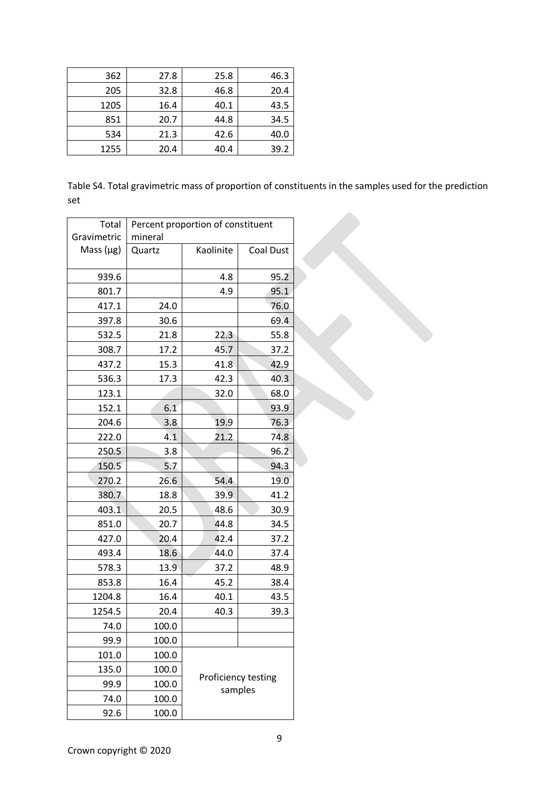| 362  | 27.8 | 25.8 | 46.3 |
|------|------|------|------|
| 205  | 32.8 | 46.8 | 20.4 |
| 1205 | 16.4 | 40.1 | 43.5 |
| 851  | 20.7 | 44.8 | 34.5 |
| 534  | 21.3 | 42.6 | 40.0 |
| 1255 | 20.4 | 40.4 | 39.2 |

Table S4. Total gravimetric mass of proportion of constituents in the samples used for the prediction set

| Total          | Percent proportion of constituent |              |                     |  |
|----------------|-----------------------------------|--------------|---------------------|--|
| Gravimetric    | mineral                           |              |                     |  |
| Mass $(\mu g)$ | Quartz                            | Kaolinite    | <b>Coal Dust</b>    |  |
| 939.6          |                                   | 4.8          | 95.2                |  |
| 801.7          |                                   | 4.9          | 95.1                |  |
| 417.1          | 24.0                              |              | 76.0                |  |
| 397.8          | 30.6                              |              | 69.4                |  |
| 532.5          | 21.8                              | 22.3         | 55.8                |  |
| 308.7          | 17.2                              | 45.7         | 37.2                |  |
| 437.2          | 15.3                              | 41.8         | 42.9                |  |
| 536.3          | 17.3                              | 42.3         | 40.3                |  |
| 123.1          |                                   | 32.0         | 68.0                |  |
| 152.1          | 6.1                               |              | 93.9                |  |
| 204.6          | 3.8                               | 19.9         | 76.3                |  |
| 222.0          | 4.1                               | 21.2         | 74.8                |  |
| 250.5          | 3.8                               |              | 96.2                |  |
| 150.5          | 5.7                               |              | 94.3                |  |
| 270.2          | 26.6                              | 54.4         | 19.0                |  |
| 380.7          | 18.8                              | 39.9         | 41.2                |  |
| 403.1          | 20.5                              | 48.6         | 30.9                |  |
| 851.0          | 20.7                              | 44.8<br>34.5 |                     |  |
| 427.0          | 20.4                              | 42.4         | 37.2                |  |
| 493.4          | 18.6                              | 44.0         | 37.4                |  |
| 578.3          | 13.9                              | 37.2         | 48.9                |  |
| 853.8          | 16.4                              | 45.2         | 38.4                |  |
| 1204.8         | 16.4                              | 40.1         | 43.5                |  |
| 1254.5         | 20.4                              | 40.3         | 39.3                |  |
| 74.0           | 100.0                             |              |                     |  |
| 99.9           | 100.0                             |              |                     |  |
| 101.0          | 100.0                             |              |                     |  |
| 135.0          | 100.0                             |              |                     |  |
| 99.9           | 100.0                             |              | Proficiency testing |  |
| 74.0           | 100.0                             | samples      |                     |  |
| 92.6           | 100.0                             |              |                     |  |